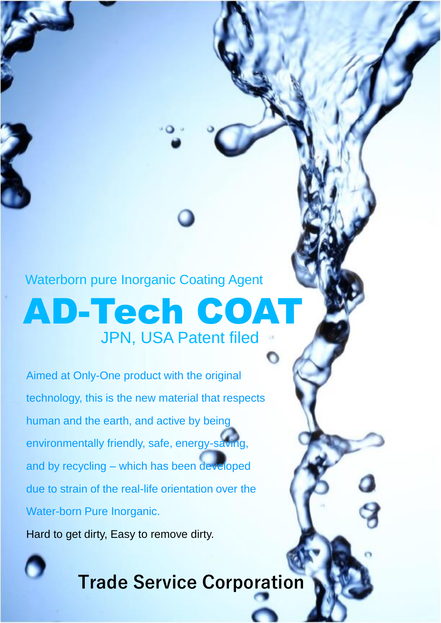AD-Tech COAT JPN, USA Patent filed Waterborn pure Inorganic Coating Agent

O

Aimed at Only-One product with the original technology, this is the new material that respects human and the earth, and active by being environmentally friendly, safe, energy-saving, and by recycling – which has been developed due to strain of the real-life orientation over the Water-born Pure Inorganic.

Hard to get dirty, Easy to remove dirty.

**Trade Service Corporation**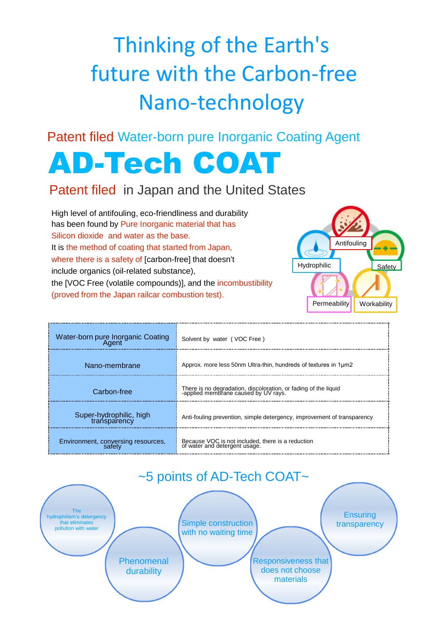# Thinking of the Earth's future with the Carbon-free Nano-technology

Patent filed Water-born pure Inorganic Coating Agent

# AD-Tech COAT

# Patent filed in Japan and the United States

High level of antifouling, eco-friendliness and durability has been found by Pure Inorganic material that has Silicon dioxide and water as the base. It is the method of coating that started from Japan, where there is a safety of [carbon-free] that doesn't include organics (oil-related substance), the [VOC Free (volatile compounds)], and the incombustibility (proved from the Japan railcar combustion test).



| Water-born pure Inorganic Coating<br>Agent   | Solvent by water (VOC Free)                                                                             |
|----------------------------------------------|---------------------------------------------------------------------------------------------------------|
| Nano-membrane                                | Approx. more less 50nm Ultra-thin, hundreds of textures in 1µm2                                         |
| Carbon-free                                  | There is no degradation, discoloration, or fading of the liquid<br>-applied membrane caused by UV rays. |
| Super-hydrophilic, high<br>transparency      | Anti-fouling prevention, simple detergency, improvement of transparency                                 |
| Environment, conversing resources,<br>safety | Because VOC is not included, there is a reduction<br>of water and detergent usage.                      |

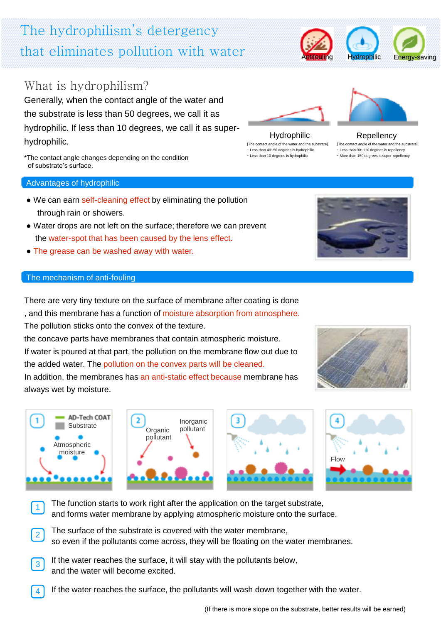(If there is more slope on the substrate, better results will be earned)

# The hydrophilism's detergency that eliminates pollution with water

# What is hydrophilism?

Generally, when the contact angle of the water and the substrate is less than 50 degrees, we call it as hydrophilic. If less than 10 degrees, we call it as superhydrophilic.

\*The contact angle changes depending on the condition of substrate's surface.

#### Advantages of hydrophilic

- We can earn self-cleaning effect by eliminating the pollution through rain or showers.
- Water drops are not left on the surface; therefore we can prevent the water-spot that has been caused by the lens effect.
- The grease can be washed away with water.

#### The mechanism of anti-fouling

**Substrate** 

AD-Tech COAT

Atmospheric moisture

1

There are very tiny texture on the surface of membrane after coating is done , and this membrane has a function of moisture absorption from atmosphere. The pollution sticks onto the convex of the texture. the concave parts have membranes that contain atmospheric moisture. If water is poured at that part, the pollution on the membrane flow out due to

the added water. The pollution on the convex parts will be cleaned. In addition, the membranes has an anti-static effect because membrane has always wet by moisture.

> **Organic** pollutant

 $\overline{\mathbf{2}}$ 

The function starts to work right after the application on the target substrate, and forms water membrane by applying atmospheric moisture onto the surface. 1

The surface of the substrate is covered with the water membrane, so even if the pollutants come across, they will be floating on the water membranes. 2

Inorganic pollutant

- If the water reaches the surface, it will stay with the pollutants below, and the water will become excited. 3
- If the water reaches the surface, the pollutants will wash down together with the water. 4



Hydrophilic Repellency









[The contact angle of the water and the substrate] ・ Less than 90~110 degrees is repellency ・ More than 150 degrees is super-repellency



[The contact angle of the water and the substrate] ・ Less than 40~50 degrees is hydrophilic ・ Less than 10 degrees is hydrophilic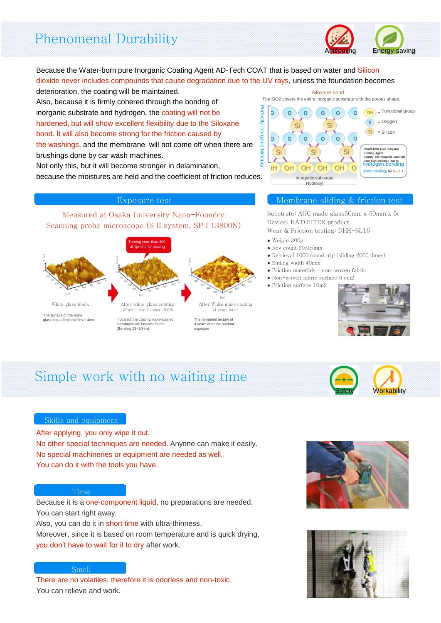# Phenomenal Durability



#### Because the Water-born pure Inorganic Coating Agent AD-Tech COAT that is based on water and Silicon dioxide never includes compounds that cause degradation due to the UV rays, unless the foundation becomes deterioration, the coating will be maintained.

Also, because it is firmly cohered through the bondng of inorganic substrate and hydrogen, the coating will not be hardened, but will show excellent flexibility due to the Siloxane bond. It will also become strong for the friction caused by

the washings, and the membrane will not come off when there are brushings done by car wash machines.

Not only this, but it will become stronger in delamination, because the moistures are held and the coefficient of friction reduces.

Measured at Osaka University Nano-Foundry Scanning probe microscope (S II system, SP I 13800N)



The remained texture of 4 years after the outdoo exposure



#### Exposure test Membrane sliding & friction test

Substrate: AGC made glass50mm x 50mm x 5t Device: KATOHTEK product

- Wear & Friction testing: DHK-SL16
- Weight 300g
- $\bullet$  Rev count 60.0r/min
- Retrieval 1000 round trip (sliding 2000 times)
- Sliding width 40mm
- Friction materials non-woven fabric
- Non-woven fabric surface 6 cm2
- Friction surface 10m2



# Simple work with no waiting time

membrane will become 50nm. (Bending 15~30nm)



#### Skills and equipment

After applying, you only wipe it out. No other special techniques are needed. Anyone can make it easily. No special machineries or equipment are needed as well. You can do it with the tools you have.

#### Time

Because it is a one-component liquid, no preparations are needed. You can start right away.

Also, you can do it in short time with ultra-thinness.

Moreover, since it is based on room temperature and is quick drying, you don't have to wait for it to dry after work.

#### Smell

There are no volatiles; therefore it is odorless and non-toxic. You can relieve and work.



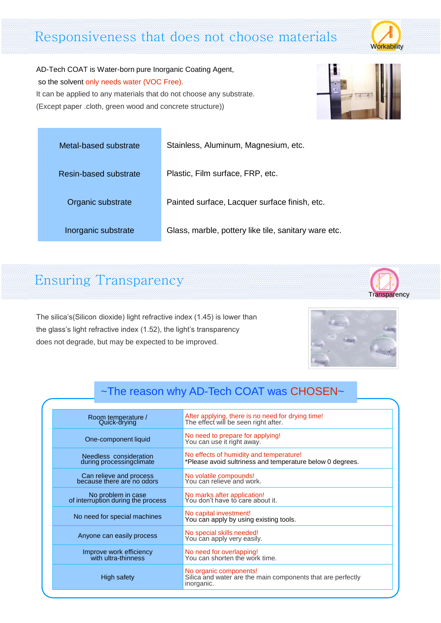# Responsiveness that does not choose materials



AD-Tech COAT is Water-born pure Inorganic Coating Agent, so the solvent only needs water (VOC Free). It can be applied to any materials that do not choose any substrate. (Except paper .cloth, green wood and concrete structure))



| Metal-based substrate |  |
|-----------------------|--|
| Resin-based substrate |  |
| Organic substrate     |  |
| Inorganic substrate   |  |

tainless, Aluminum, Magnesium, etc.

lastic, Film surface, FRP, etc.

ainted surface, Lacquer surface finish, etc.

Iass, marble, pottery like tile, sanitary ware etc.

# Ensuring Transparency

The silica's(Silicon dioxide) light refractive index (1.45) is lower than the glass's light refractive index (1.52), the light's transparency does not degrade, but may be expected to be improved.



# ~The reason why AD-Tech COAT was CHOSEN~

| Room temperature /<br>Quick-drying                       | After applying, there is no need for drying time!<br>The effect will be seen right after.            |
|----------------------------------------------------------|------------------------------------------------------------------------------------------------------|
| One-component liquid                                     | No need to prepare for applying!<br>You can use it right away.                                       |
| Needless consideration<br>during processingclimate       | No effects of humidity and temperature!<br>*Please avoid sultriness and temperature below 0 degrees. |
| Can relieve and process<br>because there are no odors    | No volatile compounds!<br>You can relieve and work.                                                  |
| No problem in case<br>of interruption during the process | No marks after application!<br>You don't have to care about it.                                      |
| No need for special machines                             | No capital investment!<br>You can apply by using existing tools.                                     |
| Anyone can easily process                                | No special skills needed!<br>You can apply very easily.                                              |
| Improve work efficiency<br>with ultra-thinness           | No need for overlapping!<br>You can shorten the work time.                                           |
| High safety                                              | No organic components!<br>Silica and water are the main components that are perfectly<br>inorganic.  |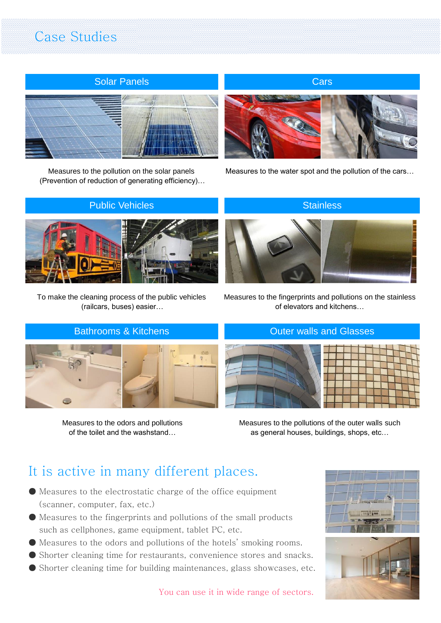# Case Studies



Measures to the pollution on the solar panels (Prevention of reduction of generating efficiency)…



Measures to the water spot and the pollution of the cars…

# Public Vehicles **Stainless** Stainless



To make the cleaning process of the public vehicles (railcars, buses) easier…

# Bathrooms & Kitchens **Contact Contact Contact Contact Contact Contact Contact Contact Contact Contact Contact Contact Contact Contact Contact Contact Contact Contact Contact Contact Contact Contact Contact Contact Contact**



Measures to the odors and pollutions of the toilet and the washstand…



Measures to the fingerprints and pollutions on the stainless of elevators and kitchens…



Measures to the pollutions of the outer walls such as general houses, buildings, shops, etc…

# It is active in many different places.

- Measures to the electrostatic charge of the office equipment (scanner, computer, fax, etc.)
- Measures to the fingerprints and pollutions of the small products such as cellphones, game equipment, tablet PC, etc.
- Measures to the odors and pollutions of the hotels' smoking rooms.
- Shorter cleaning time for restaurants, convenience stores and snacks.
- Shorter cleaning time for building maintenances, glass showcases, etc.



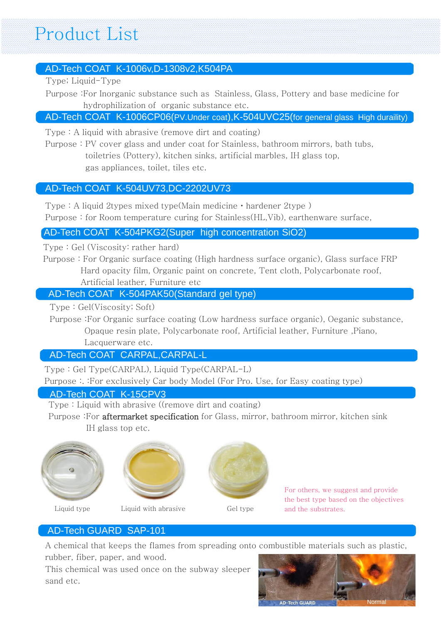# Product List

# AD-Tech COAT K-1006v,D-1308v2,K504PA

Type; Liquid-Type

Purpose :For Inorganic substance such as Stainless, Glass, Pottery and base medicine for hydrophilization of organic substance etc.

# AD-Tech COAT K-1006CP06(PV.Under coat), K-504UVC25(for general glass High duraility)

Type : A liquid with abrasive (remove dirt and coating)

Purpose : PV cover glass and under coat for Stainless, bathroom mirrors, bath tubs, toiletries (Pottery), kitchen sinks, artificial marbles, IH glass top, gas appliances, toilet, tiles etc.

## AD-Tech COAT K-504UV73,DC-2202UV73

Type : A liquid 2types mixed type(Main medicine・hardener 2type ) Purpose : for Room temperature curing for Stainless(HL,Vib), earthenware surface,

#### AD-Tech COAT K-504PKG2(Super high concentration SiO2)

Type : Gel (Viscosity: rather hard)

Purpose : For Organic surface coating (High hardness surface organic), Glass surface FRP Hard opacity film, Organic paint on concrete, Tent cloth, Polycarbonate roof, Artificial leather, Furniture etc

## AD-Tech COAT K-504PAK50(Standard gel type)

Type : Gel(Viscosity; Soft)

Purpose :For Organic surface coating (Low hardness surface organic), Oeganic substance, Opaque resin plate, Polycarbonate roof, Artificial leather, Furniture ,Piano,

Lacquerware etc.

## AD-Tech COAT CARPAL,CARPAL-L

Type : Gel Type(CARPAL), Liquid Type(CARPAL-L)

Purpose :. :For exclusively Car body Model (For Pro. Use, for Easy coating type)

## AD-Tech COAT K-15CPV3

Type : Liquid with abrasive ((remove dirt and coating)

Purpose :For aftermarket specification for Glass, mirror, bathroom mirror, kitchen sink IH glass top etc.









For others, we suggest and provide the best type based on the objectives and the substrates.

## AD-Tech GUARD SAP-101

A chemical that keeps the flames from spreading onto combustible materials such as plastic, rubber, fiber, paper, and wood.

This chemical was used once on the subway sleeper sand etc.